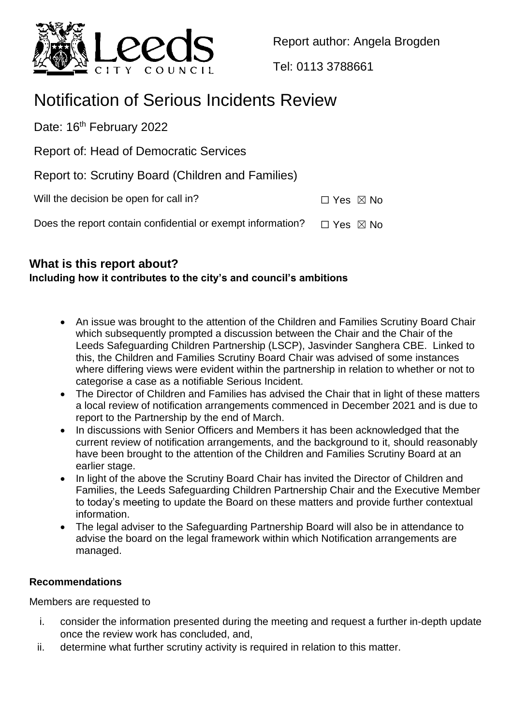

Report author: Angela Brogden

Tel: 0113 3788661

# Notification of Serious Incidents Review

Date: 16<sup>th</sup> February 2022

Report of: Head of Democratic Services

| Report to: Scrutiny Board (Children and Families) |  |  |  |
|---------------------------------------------------|--|--|--|
|                                                   |  |  |  |

| Will the decision be open for call in? | $\Box$ Yes $\boxtimes$ No |
|----------------------------------------|---------------------------|
|                                        |                           |

Does the report contain confidential or exempt information?  $\Box$  Yes  $\boxtimes$  No

## **What is this report about?**

## **Including how it contributes to the city's and council's ambitions**

- An issue was brought to the attention of the Children and Families Scrutiny Board Chair which subsequently prompted a discussion between the Chair and the Chair of the Leeds Safeguarding Children Partnership (LSCP), Jasvinder Sanghera CBE. Linked to this, the Children and Families Scrutiny Board Chair was advised of some instances where differing views were evident within the partnership in relation to whether or not to categorise a case as a notifiable Serious Incident.
- The Director of Children and Families has advised the Chair that in light of these matters a local review of notification arrangements commenced in December 2021 and is due to report to the Partnership by the end of March.
- In discussions with Senior Officers and Members it has been acknowledged that the current review of notification arrangements, and the background to it, should reasonably have been brought to the attention of the Children and Families Scrutiny Board at an earlier stage.
- In light of the above the Scrutiny Board Chair has invited the Director of Children and Families, the Leeds Safeguarding Children Partnership Chair and the Executive Member to today's meeting to update the Board on these matters and provide further contextual information.
- The legal adviser to the Safeguarding Partnership Board will also be in attendance to advise the board on the legal framework within which Notification arrangements are managed.

## **Recommendations**

Members are requested to

- i. consider the information presented during the meeting and request a further in-depth update once the review work has concluded, and,
- ii. determine what further scrutiny activity is required in relation to this matter.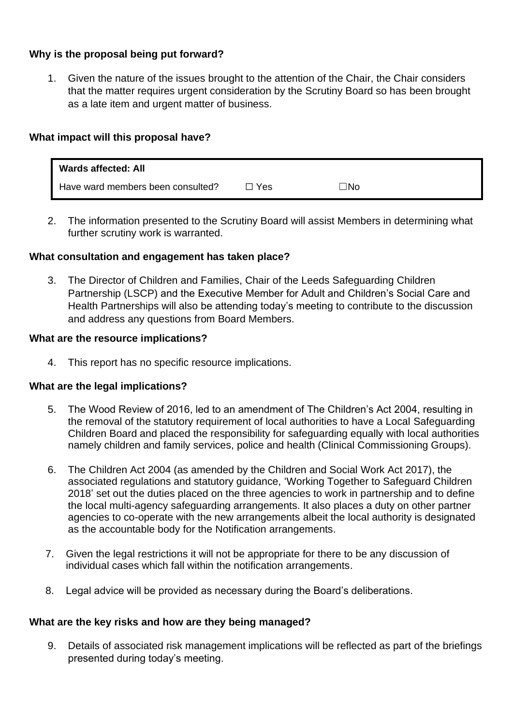## **Why is the proposal being put forward?**

1. Given the nature of the issues brought to the attention of the Chair, the Chair considers that the matter requires urgent consideration by the Scrutiny Board so has been brought as a late item and urgent matter of business.

#### **What impact will this proposal have?**

| <b>Wards affected: All</b>        |       |     |
|-----------------------------------|-------|-----|
| Have ward members been consulted? | ∃ Yes | コNo |

2. The information presented to the Scrutiny Board will assist Members in determining what further scrutiny work is warranted.

#### **What consultation and engagement has taken place?**

3. The Director of Children and Families, Chair of the Leeds Safeguarding Children Partnership (LSCP) and the Executive Member for Adult and Children's Social Care and Health Partnerships will also be attending today's meeting to contribute to the discussion and address any questions from Board Members.

#### **What are the resource implications?**

4. This report has no specific resource implications.

#### **What are the legal implications?**

- 5. The Wood Review of 2016, led to an amendment of The Children's Act 2004, resulting in the removal of the statutory requirement of local authorities to have a Local Safeguarding Children Board and placed the responsibility for safeguarding equally with local authorities namely children and family services, police and health (Clinical Commissioning Groups).
- 6. The Children Act 2004 (as amended by the Children and Social Work Act 2017), the associated regulations and statutory guidance, 'Working Together to Safeguard Children 2018' set out the duties placed on the three agencies to work in partnership and to define the local multi-agency safeguarding arrangements. It also places a duty on other partner agencies to co-operate with the new arrangements albeit the local authority is designated as the accountable body for the Notification arrangements.
- 7. Given the legal restrictions it will not be appropriate for there to be any discussion of individual cases which fall within the notification arrangements.
- 8. Legal advice will be provided as necessary during the Board's deliberations.

#### **What are the key risks and how are they being managed?**

9. Details of associated risk management implications will be reflected as part of the briefings presented during today's meeting.